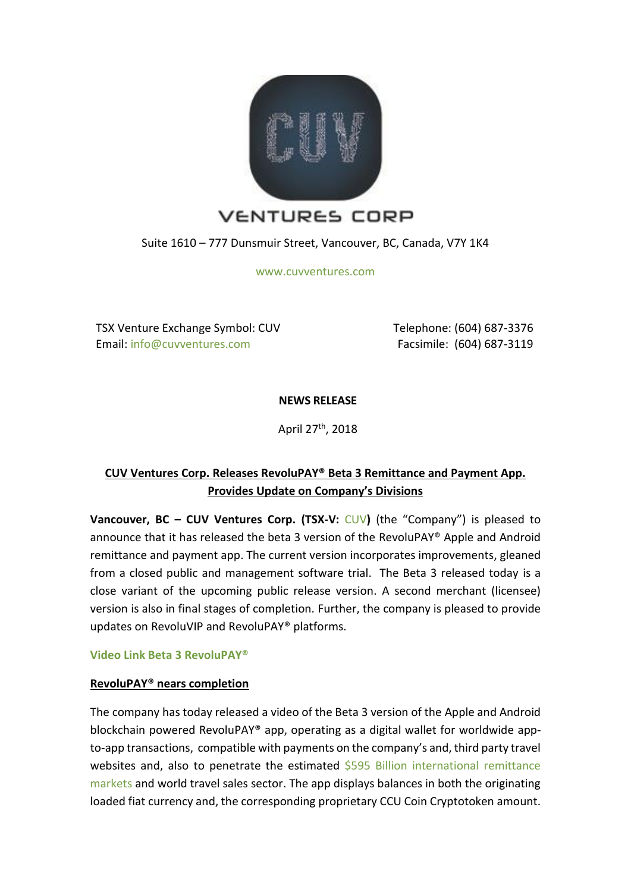

Suite 1610 – 777 Dunsmuir Street, Vancouver, BC, Canada, V7Y 1K4

[www.cuvventures.com](http://www.cuvventures.com/)

TSX Venture Exchange Symbol: CUV Email: [info@cuvventures.com](mailto:info@cuvventures.com)

 Telephone: (604) 687-3376 Facsimile: (604) 687-3119

**NEWS RELEASE**

April 27th, 2018

# **CUV Ventures Corp. Releases RevoluPAY® Beta 3 Remittance and Payment App. Provides Update on Company's Divisions**

**Vancouver, BC – CUV Ventures Corp. (TSX-V:** [CUV](http://web.tmxmoney.com/quote.php?qm_symbol=CUV)**)** (the "Company") is pleased to announce that it has released the beta 3 version of the RevoluPAY® Apple and Android remittance and payment app. The current version incorporates improvements, gleaned from a closed public and management software trial. The Beta 3 released today is a close variant of the upcoming public release version. A second merchant (licensee) version is also in final stages of completion. Further, the company is pleased to provide updates on RevoluVIP and RevoluPAY® platforms.

**[Video Link Beta 3 RevoluPAY®](https://www.youtube.com/watch?v=0n2qyHS0NmE&t=6s)**

### **RevoluPAY® nears completion**

The company has today released a video of the Beta 3 version of the Apple and Android blockchain powered RevoluPAY® app, operating as a digital wallet for worldwide appto-app transactions, compatible with payments on the company's and, third party travel websites and, also to penetrate the estimated \$595 Billion international remittance [markets](http://www.worldbank.org/en/topic/migrationremittancesdiasporaissues/brief/migration-remittances-data) and world travel sales sector. The app displays balances in both the originating loaded fiat currency and, the corresponding proprietary CCU Coin Cryptotoken amount.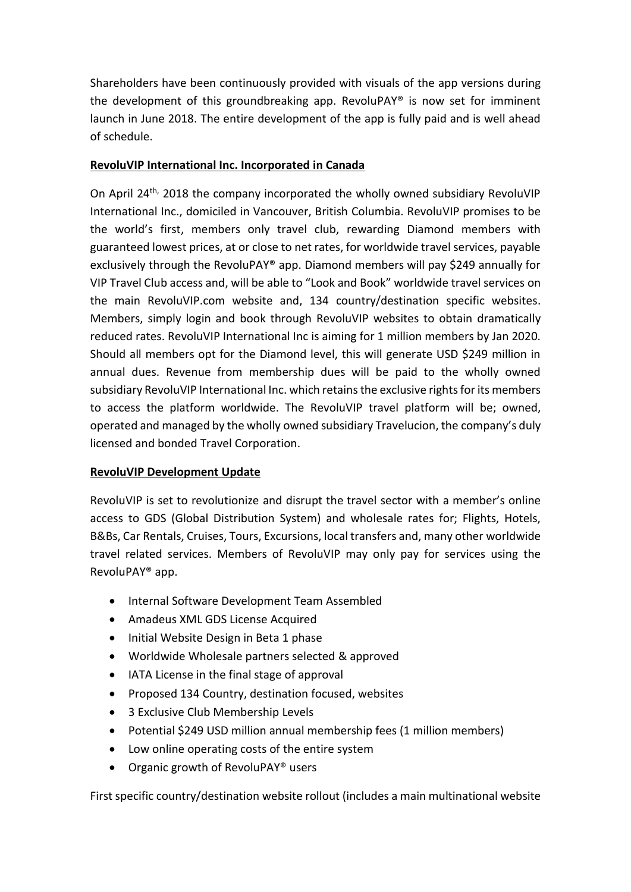Shareholders have been continuously provided with visuals of the app versions during the development of this groundbreaking app. RevoluPAY® is now set for imminent launch in June 2018. The entire development of the app is fully paid and is well ahead of schedule.

# **RevoluVIP International Inc. Incorporated in Canada**

On April 24th, 2018 the company incorporated the wholly owned subsidiary RevoluVIP International Inc., domiciled in Vancouver, British Columbia. RevoluVIP promises to be the world's first, members only travel club, rewarding Diamond members with guaranteed lowest prices, at or close to net rates, for worldwide travel services, payable exclusively through the RevoluPAY® app. Diamond members will pay \$249 annually for VIP Travel Club access and, will be able to "Look and Book" worldwide travel services on the main RevoluVIP.com website and, 134 country/destination specific websites. Members, simply login and book through RevoluVIP websites to obtain dramatically reduced rates. RevoluVIP International Inc is aiming for 1 million members by Jan 2020. Should all members opt for the Diamond level, this will generate USD \$249 million in annual dues. Revenue from membership dues will be paid to the wholly owned subsidiary RevoluVIP International Inc. which retains the exclusive rights for its members to access the platform worldwide. The RevoluVIP travel platform will be; owned, operated and managed by the wholly owned subsidiary Travelucion, the company's duly licensed and bonded Travel Corporation.

# **RevoluVIP Development Update**

RevoluVIP is set to revolutionize and disrupt the travel sector with a member's online access to GDS (Global Distribution System) and wholesale rates for; Flights, Hotels, B&Bs, Car Rentals, Cruises, Tours, Excursions, local transfers and, many other worldwide travel related services. Members of RevoluVIP may only pay for services using the RevoluPAY® app.

- Internal Software Development Team Assembled
- Amadeus XML GDS License Acquired
- Initial Website Design in Beta 1 phase
- Worldwide Wholesale partners selected & approved
- IATA License in the final stage of approval
- Proposed 134 Country, destination focused, websites
- 3 Exclusive Club Membership Levels
- Potential \$249 USD million annual membership fees (1 million members)
- Low online operating costs of the entire system
- Organic growth of RevoluPAY® users

First specific country/destination website rollout (includes a main multinational website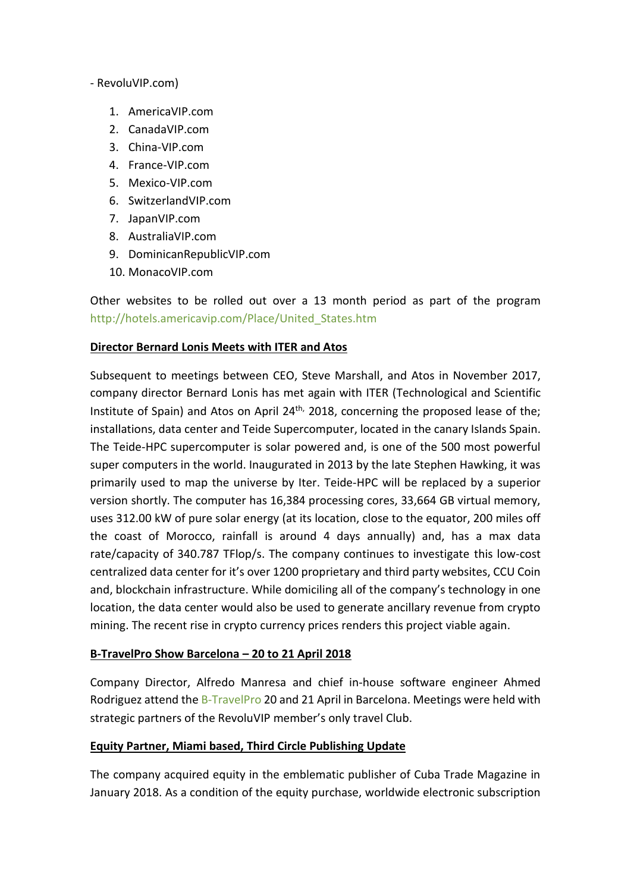#### - RevoluVIP.com)

- 1. AmericaVIP.com
- 2. CanadaVIP.com
- 3. China-VIP.com
- 4. France-VIP.com
- 5. Mexico-VIP.com
- 6. SwitzerlandVIP.com
- 7. JapanVIP.com
- 8. AustraliaVIP.com
- 9. DominicanRepublicVIP.com
- 10. MonacoVIP.com

Other websites to be rolled out over a 13 month period as part of the program [http://hotels.americavip.com/Place/United\\_States.htm](http://hotels.americavip.com/Place/United_States.htm)

#### **Director Bernard Lonis Meets with ITER and Atos**

Subsequent to meetings between CEO, Steve Marshall, and Atos in November 2017, company director Bernard Lonis has met again with ITER (Technological and Scientific Institute of Spain) and Atos on April  $24<sup>th</sup>$ , 2018, concerning the proposed lease of the; installations, data center and Teide Supercomputer, located in the canary Islands Spain. The Teide-HPC supercomputer is solar powered and, is one of the 500 most powerful super computers in the world. Inaugurated in 2013 by the late Stephen Hawking, it was primarily used to map the universe by Iter. Teide-HPC will be replaced by a superior version shortly. The computer has 16,384 processing cores, 33,664 GB virtual memory, uses 312.00 kW of pure solar energy (at its location, close to the equator, 200 miles off the coast of Morocco, rainfall is around 4 days annually) and, has a max data rate/capacity of 340.787 TFlop/s. The company continues to investigate this low-cost centralized data center for it's over 1200 proprietary and third party websites, CCU Coin and, blockchain infrastructure. While domiciling all of the company's technology in one location, the data center would also be used to generate ancillary revenue from crypto mining. The recent rise in crypto currency prices renders this project viable again.

### **B-TravelPro Show Barcelona – 20 to 21 April 2018**

Company Director, Alfredo Manresa and chief in-house software engineer Ahmed Rodriguez attend th[e B-TravelPro](http://www.b-travel.com/) 20 and 21 April in Barcelona. Meetings were held with strategic partners of the RevoluVIP member's only travel Club.

### **Equity Partner, Miami based, Third Circle Publishing Update**

The company acquired equity in the emblematic publisher of Cuba Trade Magazine in January 2018. As a condition of the equity purchase, worldwide electronic subscription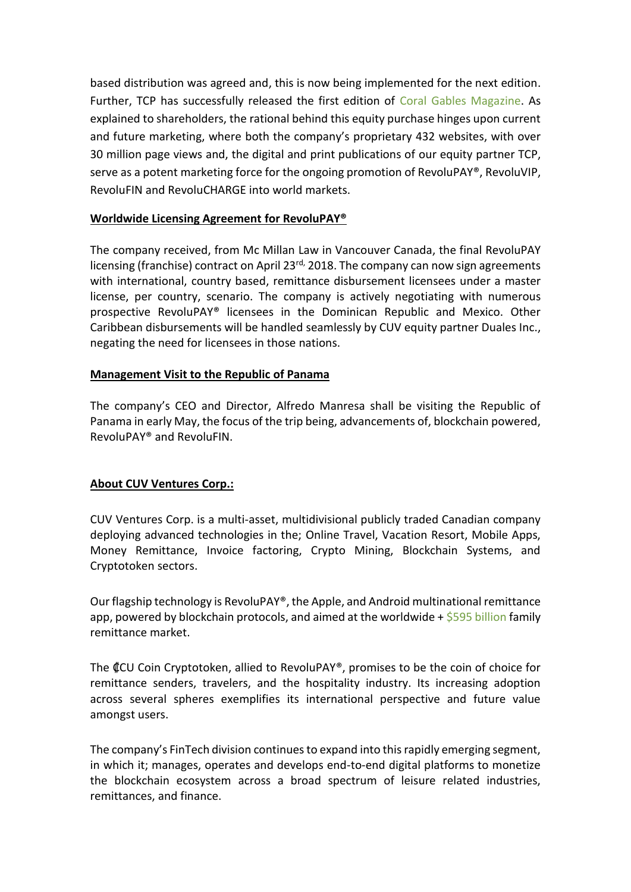based distribution was agreed and, this is now being implemented for the next edition. Further, TCP has successfully released the first edition of [Coral Gables Magazine.](https://www.cuvventures.com/assets/docs/media/Coral_Gables_Magazine_April2018.pdf) As explained to shareholders, the rational behind this equity purchase hinges upon current and future marketing, where both the company's proprietary 432 websites, with over 30 million page views and, the digital and print publications of our equity partner TCP, serve as a potent marketing force for the ongoing promotion of RevoluPAY®, RevoluVIP, RevoluFIN and RevoluCHARGE into world markets.

### **Worldwide Licensing Agreement for RevoluPAY®**

The company received, from Mc Millan Law in Vancouver Canada, the final RevoluPAY licensing (franchise) contract on April 23<sup>rd,</sup> 2018. The company can now sign agreements with international, country based, remittance disbursement licensees under a master license, per country, scenario. The company is actively negotiating with numerous prospective RevoluPAY® licensees in the Dominican Republic and Mexico. Other Caribbean disbursements will be handled seamlessly by CUV equity partner Duales Inc., negating the need for licensees in those nations.

#### **Management Visit to the Republic of Panama**

The company's CEO and Director, Alfredo Manresa shall be visiting the Republic of Panama in early May, the focus of the trip being, advancements of, blockchain powered, RevoluPAY® and RevoluFIN.

### **About CUV Ventures Corp.:**

CUV Ventures Corp. is a multi-asset, multidivisional publicly traded Canadian company deploying advanced technologies in the; Online Travel, Vacation Resort, Mobile Apps, Money Remittance, Invoice factoring, Crypto Mining, Blockchain Systems, and Cryptotoken sectors.

Our flagship technology is RevoluPAY®, the Apple, and Android multinational remittance app, powered by blockchain protocols, and aimed at the worldwide  $+$  \$595 [billion](http://www.worldbank.org/en/topic/migrationremittancesdiasporaissues/brief/migration-remittances-data) family remittance market.

The ₡CU Coin Cryptotoken, allied to RevoluPAY®, promises to be the coin of choice for remittance senders, travelers, and the hospitality industry. Its increasing adoption across several spheres exemplifies its international perspective and future value amongst users.

The company's FinTech division continues to expand into this rapidly emerging segment, in which it; manages, operates and develops end-to-end digital platforms to monetize the blockchain ecosystem across a broad spectrum of leisure related industries, remittances, and finance.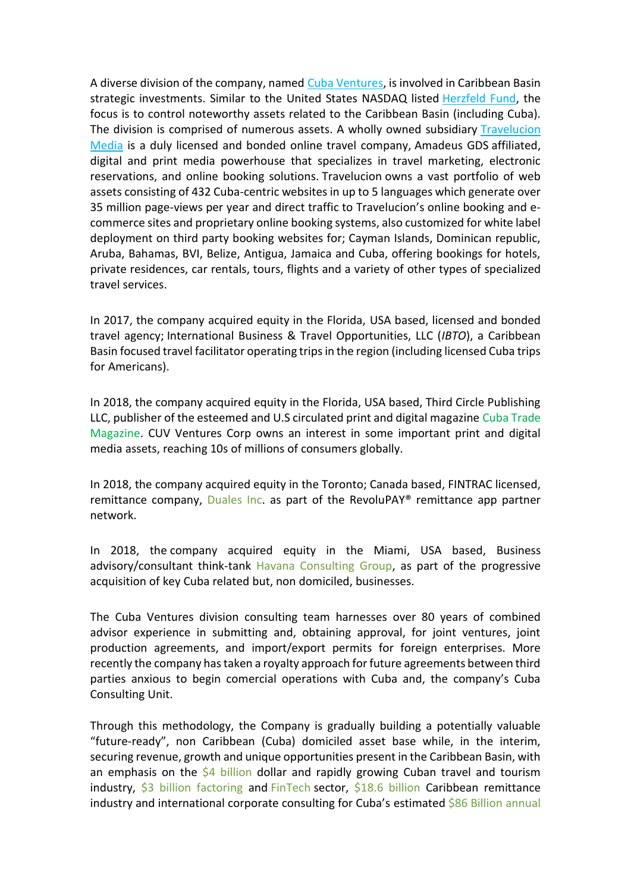A diverse division of the company, named [Cuba Ventures,](http://www.cubaventures.com/) is involved in Caribbean Basin strategic investments. Similar to the United States NASDAQ listed [Herzfeld Fund,](https://www.herzfeld.com/cuba) the focus is to control noteworthy assets related to the Caribbean Basin (including Cuba). The division is comprised of numerous assets. A wholly owned subsidiary [Travelucion](http://www.travelucion.com/)  [Media](http://www.travelucion.com/) is a duly licensed and bonded online travel company, [Amadeus GDS](http://www.amadeus.com/) affiliated, digital and print media powerhouse that specializes in travel marketing, electronic reservations, and online booking solutions. [Travelucion](http://www.travelucion.com/) owns a vast portfolio of web assets consisting of 432 Cuba-centric websites in up to 5 languages which generate over 35 million page-views per year and direct traffic to Travelucion's online booking and ecommerce sites and proprietary online booking systems, also customized for white label deployment on third party booking websites for; Cayman Islands, Dominican republic, Aruba, Bahamas, BVI, Belize, Antigua, Jamaica and Cuba, offering bookings for hotels, private residences, car rentals, tours, flights and a variety of other types of specialized travel services.

In 2017, the company acquired equity in the Florida, USA based, licensed and bonded travel agency; International Business & Travel Opportunities, LLC (*IBTO*), a Caribbean Basin focused travel facilitator operating trips in the region (including licensed Cuba trips for Americans).

In 2018, the company acquired equity in the Florida, USA based, Third Circle Publishing LLC, publisher of the esteemed and U.S circulated print and digital magazine [Cuba Trade](http://www.cubatrademagazine.com/)  [Magazine.](http://www.cubatrademagazine.com/) CUV Ventures Corp owns an interest in some important print and digital media assets, reaching 10s of millions of consumers globally.

In 2018, the company acquired equity in the Toronto; Canada based, FINTRAC licensed, remittance company, [Duales Inc.](http://www.duales.com/) as part of the RevoluPAY<sup>®</sup> remittance app partner network.

In 2018, the company acquired equity in the Miami, USA based, Business advisory/consultant think-tank [Havana Consulting Group,](http://www.thehavanaconsultinggroup.com/) as part of the progressive acquisition of key Cuba related but, non domiciled, businesses.

The Cuba Ventures division consulting team harnesses over 80 years of combined advisor experience in submitting and, obtaining approval, for joint ventures, joint production agreements, and import/export permits for foreign enterprises. More recently the company has taken a royalty approach for future agreements between third parties anxious to begin comercial operations with Cuba and, the company's Cuba Consulting Unit.

Through this methodology, the Company is gradually building a potentially valuable "future-ready", non Caribbean (Cuba) domiciled asset base while, in the interim, securing revenue, growth and unique opportunities present in the Caribbean Basin, with an emphasis on the  $\frac{64}{7}$  billion dollar and rapidly growing Cuban travel and tourism industry,  $$3$  billion factoring and [FinTech](http://www.revolufin.com/) sector,  $$18.6$  billion Caribbean remittance industry and international corporate consulting for Cuba's estimated \$86 Billion annual